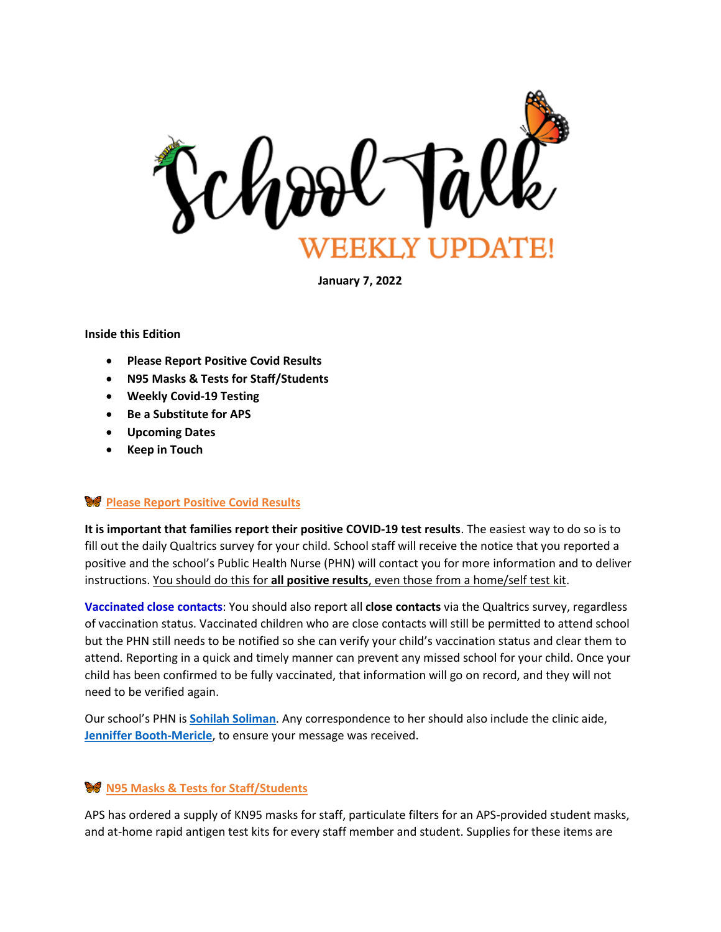

**January 7, 2022**

#### **Inside this Edition**

- **Please Report Positive Covid Results**
- **N95 Masks & Tests for Staff/Students**
- **Weekly Covid-19 Testing**
- **Be a Substitute for APS**
- **Upcoming Dates**
- **Keep in Touch**

### **Please Report Positive Covid Results**

**It is important that families report their positive COVID-19 test results**. The easiest way to do so is to fill out the daily Qualtrics survey for your child. School staff will receive the notice that you reported a positive and the school's Public Health Nurse (PHN) will contact you for more information and to deliver instructions. You should do this for **all positive results**, even those from a home/self test kit.

**Vaccinated close contacts**: You should also report all **close contacts** via the Qualtrics survey, regardless of vaccination status. Vaccinated children who are close contacts will still be permitted to attend school but the PHN still needs to be notified so she can verify your child's vaccination status and clear them to attend. Reporting in a quick and timely manner can prevent any missed school for your child. Once your child has been confirmed to be fully vaccinated, that information will go on record, and they will not need to be verified again.

Our school's PHN is **[Sohilah Soliman](mailto:ssoliman@arlingtonva.us)**. Any correspondence to her should also include the clinic aide, **Jenniffer [Booth-Mericle](mailto:jbooth-mericle@arlingtonva.us)**, to ensure your message was received.

### **N95 Masks & Tests for Staff/Students**

APS has ordered a supply of KN95 masks for staff, particulate filters for an APS-provided student masks, and at-home rapid antigen test kits for every staff member and student. Supplies for these items are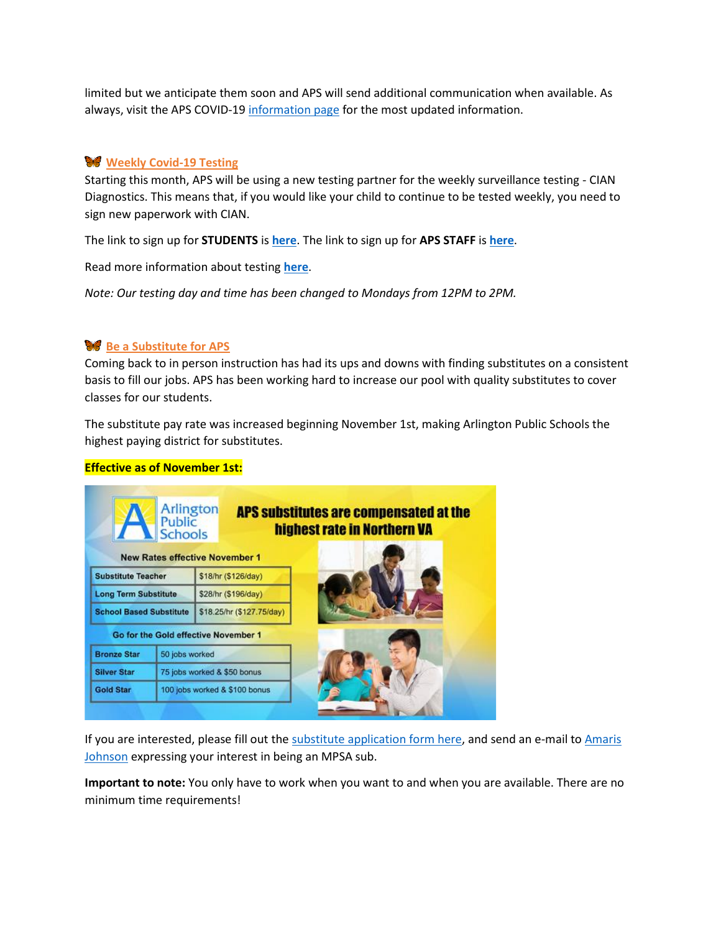limited but we anticipate them soon and APS will send additional communication when available. As always, visit the APS COVID-19 [information page](https://www.apsva.us/school-year-2021-22/health-safety-information/covid-19-testing/) for the most updated information.

# **Weekly Covid-19 Testing**

Starting this month, APS will be using a new testing partner for the weekly surveillance testing - CIAN Diagnostics. This means that, if you would like your child to continue to be tested weekly, you need to sign new paperwork with CIAN.

The link to sign up for **STUDENTS** is **[here](https://www.cognitoforms.com/CIANDiagnostics1/visstatestingprogramconsentformapsstudents)**. The link to sign up for **APS STAFF** is **[here](https://www.cognitoforms.com/CIANDiagnostics1/visstatestingprogramconsentformapsstaff)**.

Read more information about testing **[here](https://www.apsva.us/school-year-2021-22/health-safety-information/covid-19-testing/)**.

*Note: Our testing day and time has been changed to Mondays from 12PM to 2PM.*

## **Be a Substitute for APS**

Coming back to in person instruction has had its ups and downs with finding substitutes on a consistent basis to fill our jobs. APS has been working hard to increase our pool with quality substitutes to cover classes for our students.

The substitute pay rate was increased beginning November 1st, making Arlington Public Schools the highest paying district for substitutes.

#### **Effective as of November 1st:**



If you are interested, please fill out the [substitute application form here,](https://www.apsva.us/careers-aps/substitutes/newapplicants/) and send an e-mail to Amaris [Johnson](mailto:amaris.johnson@apsva.us) expressing your interest in being an MPSA sub.

**Important to note:** You only have to work when you want to and when you are available. There are no minimum time requirements!